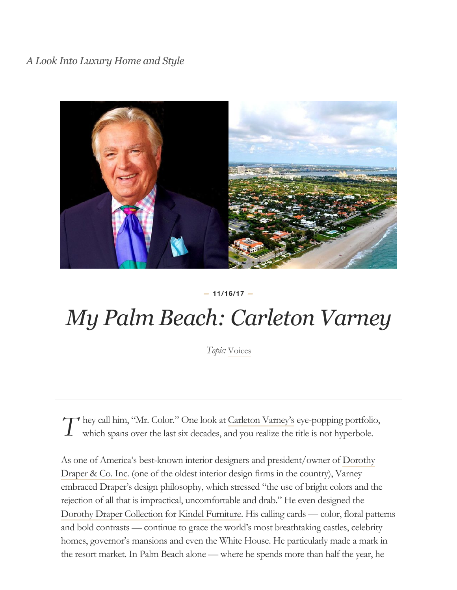*A Look Into Luxury Home and Style*



#### *—* **11/16/17** *—*

# *My Palm Beach: Carleton Varney*

*Topic:* [Voices](http://blog.coldwellbankerluxury.com/topic/voices/)

*T* hey call him, "Mr. Color." One look at [Carleton Varney's](https://www.carletonvarney.com/) eye-popping portfolio, which spans over the last six decades, and you realize the title is not hyperbole. which spans over the last six decades, and you realize the title is not hyperbole.

[As one of America's best-known interior designers and president/owner of Dorothy](http://www.dorothydraper.com/) Draper & Co. Inc. (one of the oldest interior design firms in the country), Varney embraced Draper's design philosophy, which stressed "the use of bright colors and the rejection of all that is impractical, uncomfortable and drab." He even designed the [Dorothy Draper Collection](http://www.kindelfurniture.com/catalogue) for [Kindel Furniture.](http://www.kindelfurniture.com/c) His calling cards — color, floral patterns and bold contrasts — continue to grace the world's most breathtaking castles, celebrity homes, governor's mansions and even the White House. He particularly made a mark in the resort market. In Palm Beach alone — where he spends more than half the year, he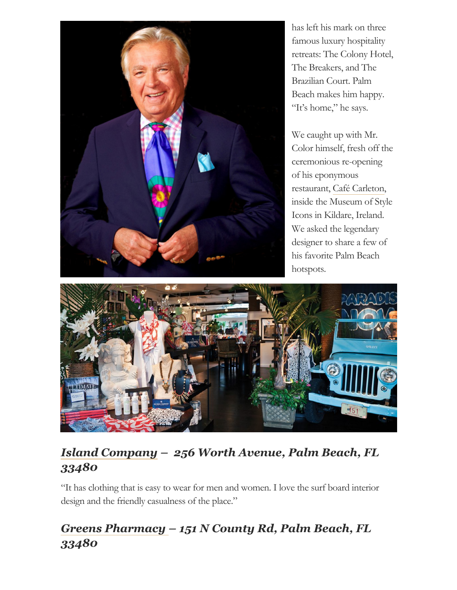

has left his mark on three famous luxury hospitality retreats: The Colony Hotel, The Breakers, and The Brazilian Court. Palm Beach makes him happy. "It's home," he says.

We caught up with Mr. Color himself, fresh off the ceremonious re-opening of his eponymous restaurant, Café [Carleton,](http://www.greenbrier.com/Dining/The-Restaurant-Collection/Cafe-Carleton.aspx) inside the Museum of Style Icons in Kildare, Ireland. We asked the legendary designer to share a few of his favorite Palm Beach hotspots.



# *[Island Company](https://www.islandcompany.com/island-company-stores/palmbeach.html) – 256 Worth Avenue, Palm Beach, FL 33480*

"It has clothing that is easy to wear for men and women. I love the surf board interior design and the friendly casualness of the place."

# *[Greens Pharmacy –](https://www.greenspb.com/) 151 N County Rd, Palm Beach, FL 33480*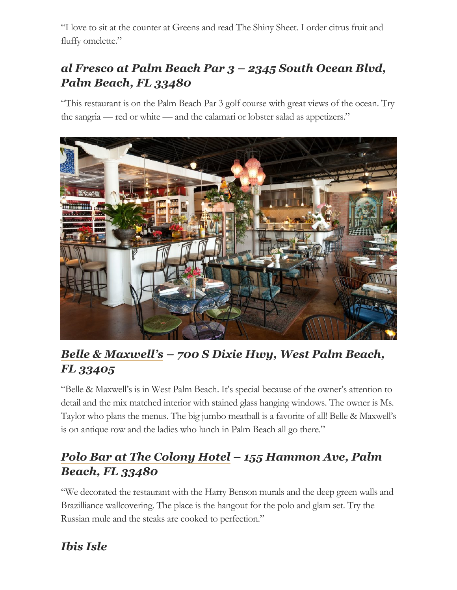"I love to sit at the counter at Greens and read The Shiny Sheet. I order citrus fruit and fluffy omelette."

# *[al Fresco at Palm Beach Par 3](https://www.golfontheocean.com/clubhouse/al-fresco/) – 2345 South Ocean Blvd, Palm Beach, FL 33480*

"This restaurant is on the Palm Beach Par 3 golf course with great views of the ocean. Try the sangria — red or white — and the calamari or lobster salad as appetizers."



# *[Belle & Maxwell's](https://www.belleandmaxwells.com/) – 700 S Dixie Hwy, West Palm Beach, FL 33405*

"Belle & Maxwell's is in West Palm Beach. It's special because of the owner's attention to detail and the mix matched interior with stained glass hanging windows. The owner is Ms. Taylor who plans the menus. The big jumbo meatball is a favorite of all! Belle & Maxwell's is on antique row and the ladies who lunch in Palm Beach all go there."

### *[Polo Bar at The Colony Hotel](https://www.thecolonypalmbeach.com/dining) – 155 Hammon Ave, Palm Beach, FL 33480*

"We decorated the restaurant with the Harry Benson murals and the deep green walls and Brazilliance wallcovering. The place is the hangout for the polo and glam set. Try the Russian mule and the steaks are cooked to perfection."

# *Ibis Isle*